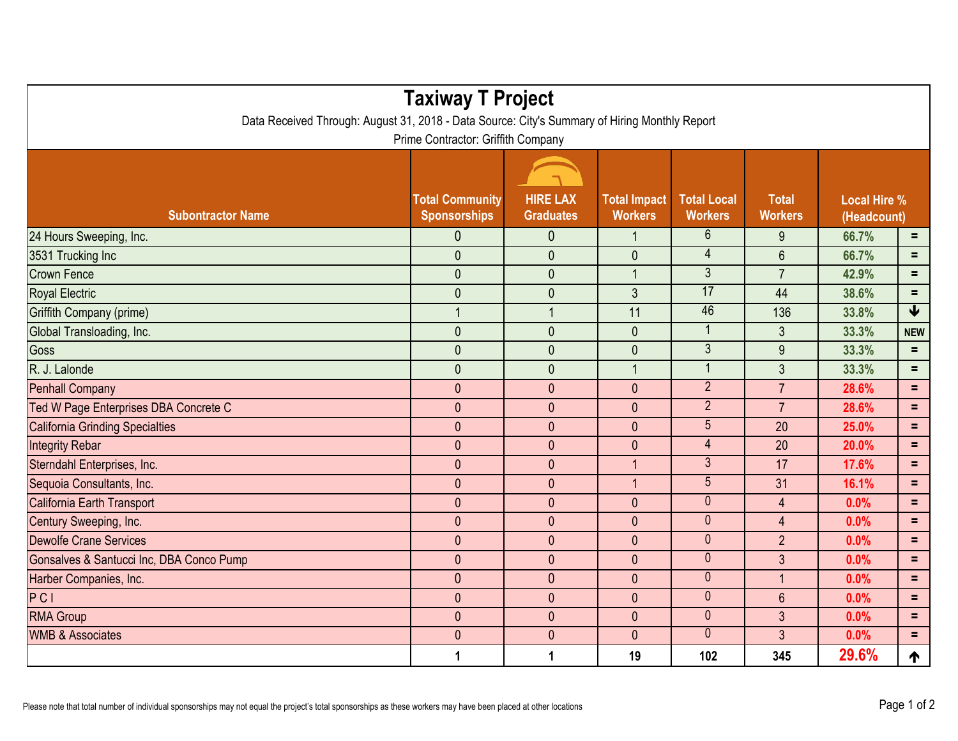| <b>Taxiway T Project</b>                                                                                                            |                                               |                                     |                                       |                                      |                                |                                    |                 |  |  |  |  |
|-------------------------------------------------------------------------------------------------------------------------------------|-----------------------------------------------|-------------------------------------|---------------------------------------|--------------------------------------|--------------------------------|------------------------------------|-----------------|--|--|--|--|
| Data Received Through: August 31, 2018 - Data Source: City's Summary of Hiring Monthly Report<br>Prime Contractor: Griffith Company |                                               |                                     |                                       |                                      |                                |                                    |                 |  |  |  |  |
| <b>Subontractor Name</b>                                                                                                            | <b>Total Community</b><br><b>Sponsorships</b> | <b>HIRE LAX</b><br><b>Graduates</b> | <b>Total Impact</b><br><b>Workers</b> | <b>Total Local</b><br><b>Workers</b> | <b>Total</b><br><b>Workers</b> | <b>Local Hire %</b><br>(Headcount) |                 |  |  |  |  |
| 24 Hours Sweeping, Inc.                                                                                                             | $\theta$                                      | $\mathbf{0}$                        | $\overline{1}$                        | $6\phantom{1}$                       | 9                              | 66.7%                              | $\equiv$        |  |  |  |  |
| 3531 Trucking Inc                                                                                                                   | $\mathbf{0}$                                  | $\mathbf 0$                         | $\pmb{0}$                             | $\overline{\mathcal{A}}$             | $6\phantom{1}$                 | 66.7%                              | $=$             |  |  |  |  |
| <b>Crown Fence</b>                                                                                                                  | $\mathbf{0}$                                  | $\overline{0}$                      | $\mathbf{1}$                          | $\overline{3}$                       | $\overline{7}$                 | 42.9%                              | $\equiv$        |  |  |  |  |
| <b>Royal Electric</b>                                                                                                               | $\mathbf{0}$                                  | $\mathbf 0$                         | $\mathfrak{Z}$                        | 17                                   | 44                             | 38.6%                              | Ξ               |  |  |  |  |
| Griffith Company (prime)                                                                                                            | $\overline{1}$                                | $\overline{1}$                      | 11                                    | 46                                   | 136                            | 33.8%                              | $\blacklozenge$ |  |  |  |  |
| Global Transloading, Inc.                                                                                                           | $\mathbf{0}$                                  | $\mathbf 0$                         | $\mathbf{0}$                          | $\overline{1}$                       | $\mathfrak{Z}$                 | 33.3%                              | <b>NEW</b>      |  |  |  |  |
| Goss                                                                                                                                | $\mathbf{0}$                                  | $\mathbf{0}$                        | $\mathbf 0$                           | $\overline{3}$                       | 9                              | 33.3%                              | $=$             |  |  |  |  |
| R. J. Lalonde                                                                                                                       | $\overline{0}$                                | $\overline{0}$                      | $\overline{1}$                        | 1                                    | 3                              | 33.3%                              | Ξ               |  |  |  |  |
| <b>Penhall Company</b>                                                                                                              | $\mathbf{0}$                                  | $\mathbf{0}$                        | $\mathbf{0}$                          | $\overline{2}$                       | $\overline{7}$                 | 28.6%                              | $=$             |  |  |  |  |
| Ted W Page Enterprises DBA Concrete C                                                                                               | $\mathbf{0}$                                  | $\overline{0}$                      | $\mathbf{0}$                          | $\overline{2}$                       | $\overline{7}$                 | 28.6%                              | $\equiv$        |  |  |  |  |
| <b>California Grinding Specialties</b>                                                                                              | $\mathbf{0}$                                  | $\mathbf{0}$                        | $\mathbf{0}$                          | $\overline{5}$                       | 20                             | 25.0%                              | $\equiv$        |  |  |  |  |
| <b>Integrity Rebar</b>                                                                                                              | $\mathbf{0}$                                  | $\mathbf{0}$                        | $\mathbf{0}$                          | $\overline{4}$                       | 20                             | 20.0%                              | $=$             |  |  |  |  |
| Sterndahl Enterprises, Inc.                                                                                                         | $\mathbf{0}$                                  | $\mathbf{0}$                        | $\overline{1}$                        | 3                                    | 17                             | 17.6%                              | $\equiv$        |  |  |  |  |
| Sequoia Consultants, Inc.                                                                                                           | $\mathbf{0}$                                  | $\overline{0}$                      | $\overline{1}$                        | 5                                    | 31                             | 16.1%                              | $=$             |  |  |  |  |
| California Earth Transport                                                                                                          | $\mathbf{0}$                                  | $\overline{0}$                      | $\mathbf{0}$                          | $\mathbf{0}$                         | $\overline{4}$                 | 0.0%                               | Ξ               |  |  |  |  |
| Century Sweeping, Inc.                                                                                                              | $\mathbf{0}$                                  | $\mathbf{0}$                        | $\mathbf{0}$                          | $\mathbf 0$                          | $\overline{4}$                 | 0.0%                               | $=$             |  |  |  |  |
| Dewolfe Crane Services                                                                                                              | $\mathbf{0}$                                  | $\mathbf{0}$                        | $\mathbf{0}$                          | $\mathbf{0}$                         | $\overline{2}$                 | 0.0%                               | $\equiv$        |  |  |  |  |
| Gonsalves & Santucci Inc, DBA Conco Pump                                                                                            | $\mathbf{0}$                                  | $\mathbf{0}$                        | $\mathbf{0}$                          | $\mathbf{0}$                         | $\mathbf{3}$                   | 0.0%                               | $\equiv$        |  |  |  |  |
| Harber Companies, Inc.                                                                                                              | $\mathbf{0}$                                  | $\mathbf{0}$                        | $\mathbf{0}$                          | $\mathbf{0}$                         | $\overline{1}$                 | 0.0%                               | $=$             |  |  |  |  |
| PCI                                                                                                                                 | $\mathbf{0}$                                  | $\mathbf{0}$                        | $\mathbf{0}$                          | $\mathbf 0$                          | $6\phantom{1}$                 | 0.0%                               | $=$             |  |  |  |  |
| <b>RMA Group</b>                                                                                                                    | $\mathbf{0}$                                  | $\mathbf{0}$                        | $\mathbf{0}$                          | $\mathbf{0}$                         | $\mathfrak{Z}$                 | 0.0%                               | $\equiv$        |  |  |  |  |
| <b>WMB &amp; Associates</b>                                                                                                         | $\overline{0}$                                | $\overline{0}$                      | $\mathbf{0}$                          | $\overline{0}$                       | $\mathfrak{Z}$                 | 0.0%                               | $=$             |  |  |  |  |
|                                                                                                                                     | 1                                             | $\mathbf{1}$                        | 19                                    | 102                                  | 345                            | 29.6%                              | ተ               |  |  |  |  |